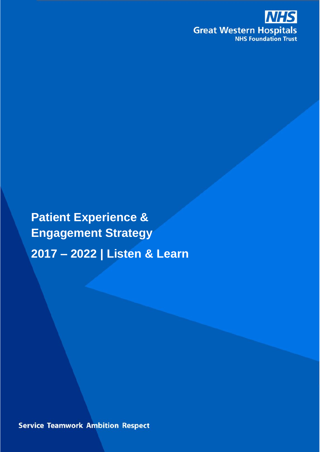

**Patient Experience & Engagement Strategy 2017 – 2022 | Listen & Learn**

**Service Teamwork Ambition Respect**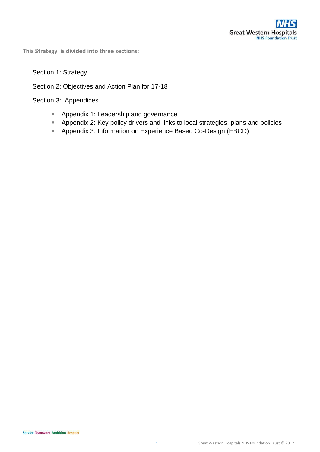**This Strategy is divided into three sections:**

#### Section 1: Strategy

### Section 2: Objectives and Action Plan for 17-18

Section 3: Appendices

- **Appendix 1: Leadership and governance**
- Appendix 2: Key policy drivers and links to local strategies, plans and policies
- **Appendix 3: Information on Experience Based Co-Design (EBCD)**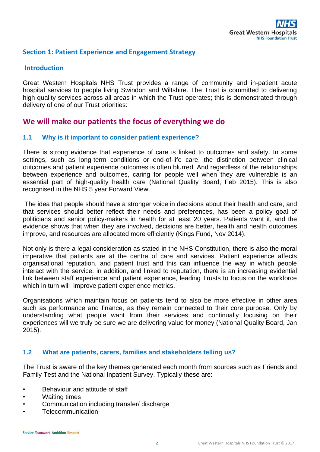### **Section 1: Patient Experience and Engagement Strategy**

#### **Introduction**

Great Western Hospitals NHS Trust provides a range of community and in-patient acute hospital services to people living Swindon and Wiltshire. The Trust is committed to delivering high quality services across all areas in which the Trust operates; this is demonstrated through delivery of one of our Trust priorities:

# **We will make our patients the focus of everything we do**

#### **1.1 Why is it important to consider patient experience?**

There is strong evidence that experience of care is linked to outcomes and safety. In some settings, such as long-term conditions or end-of-life care, the distinction between clinical outcomes and patient experience outcomes is often blurred. And regardless of the relationships between experience and outcomes, caring for people well when they are vulnerable is an essential part of high-quality health care (National Quality Board, Feb 2015). This is also recognised in the NHS 5 year Forward View.

The idea that people should have a stronger voice in decisions about their health and care, and that services should better reflect their needs and preferences, has been a policy goal of politicians and senior policy-makers in health for at least 20 years. Patients want it, and the evidence shows that when they are involved, decisions are better, health and health outcomes improve, and resources are allocated more efficiently (Kings Fund, Nov 2014).

Not only is there a legal consideration as stated in the NHS Constitution, there is also the moral imperative that patients are at the centre of care and services. Patient experience affects organisational reputation, and patient trust and this can influence the way in which people interact with the service. in addition, and linked to reputation, there is an increasing evidential link between staff experience and patient experience, leading Trusts to focus on the workforce which in turn will improve patient experience metrics.

Organisations which maintain focus on patients tend to also be more effective in other area such as performance and finance, as they remain connected to their core purpose. Only by understanding what people want from their services and continually focusing on their experiences will we truly be sure we are delivering value for money (National Quality Board, Jan 2015).

#### **1.2 What are patients, carers, families and stakeholders telling us?**

The Trust is aware of the key themes generated each month from sources such as Friends and Family Test and the National Inpatient Survey. Typically these are:

- Behaviour and attitude of staff
- Waiting times
- Communication including transfer/ discharge
- **Telecommunication**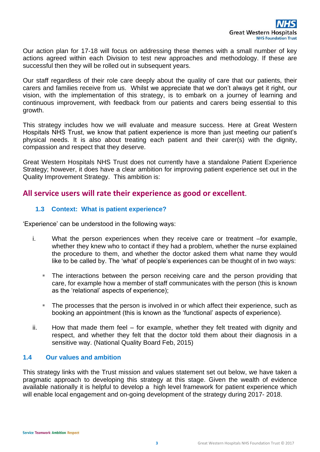Our action plan for 17-18 will focus on addressing these themes with a small number of key actions agreed within each Division to test new approaches and methodology. If these are successful then they will be rolled out in subsequent years.

Our staff regardless of their role care deeply about the quality of care that our patients, their carers and families receive from us. Whilst we appreciate that we don't always get it right, our vision, with the implementation of this strategy, is to embark on a journey of learning and continuous improvement, with feedback from our patients and carers being essential to this growth.

This strategy includes how we will evaluate and measure success. Here at Great Western Hospitals NHS Trust, we know that patient experience is more than just meeting our patient's physical needs. It is also about treating each patient and their carer(s) with the dignity, compassion and respect that they deserve.

Great Western Hospitals NHS Trust does not currently have a standalone Patient Experience Strategy; however, it does have a clear ambition for improving patient experience set out in the Quality Improvement Strategy. This ambition is:

## **All service users will rate their experience as good or excellent**.

## **1.3 Context: What is patient experience?**

'Experience' can be understood in the following ways:

- i. What the person experiences when they receive care or treatment –for example, whether they knew who to contact if they had a problem, whether the nurse explained the procedure to them, and whether the doctor asked them what name they would like to be called by. The 'what' of people's experiences can be thought of in two ways:
	- The interactions between the person receiving care and the person providing that care, for example how a member of staff communicates with the person (this is known as the 'relational' aspects of experience);
	- The processes that the person is involved in or which affect their experience, such as booking an appointment (this is known as the 'functional' aspects of experience).
- ii. How that made them feel for example, whether they felt treated with dignity and respect, and whether they felt that the doctor told them about their diagnosis in a sensitive way. (National Quality Board Feb, 2015)

#### **1.4 Our values and ambition**

This strategy links with the Trust mission and values statement set out below, we have taken a pragmatic approach to developing this strategy at this stage. Given the wealth of evidence available nationally it is helpful to develop a high level framework for patient experience which will enable local engagement and on-going development of the strategy during 2017-2018.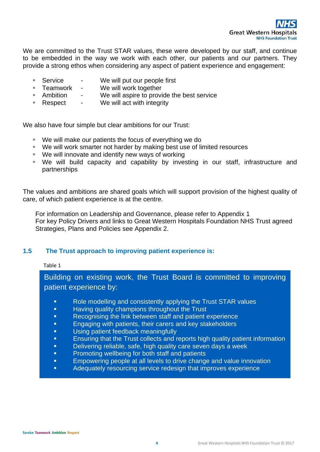

We are committed to the Trust STAR values, these were developed by our staff, and continue to be embedded in the way we work with each other, our patients and our partners. They provide a strong ethos when considering any aspect of patient experience and engagement:

- **Service** We will put our people first
- **Teamwork We will work together**
- Ambition We will aspire to provide the best service
- **Respect** We will act with integrity

We also have four simple but clear ambitions for our Trust:

- We will make our patients the focus of everything we do
- We will work smarter not harder by making best use of limited resources
- We will innovate and identify new ways of working
- We will build capacity and capability by investing in our staff, infrastructure and partnerships

The values and ambitions are shared goals which will support provision of the highest quality of care, of which patient experience is at the centre.

 For information on Leadership and Governance, please refer to Appendix 1 For key Policy Drivers and links to Great Western Hospitals Foundation NHS Trust agreed Strategies, Plans and Policies see Appendix 2.

#### **1.5 The Trust approach to improving patient experience is:**

#### Table 1

Building on existing work, the Trust Board is committed to improving patient experience by:

- Role modelling and consistently applying the Trust STAR values
- **Having quality champions throughout the Trust**
- **Recognising the link between staff and patient experience**
- **Engaging with patients, their carers and key stakeholders**
- **Using patient feedback meaningfully**
- **Ensuring that the Trust collects and reports high quality patient information**
- **Delivering reliable, safe, high quality care seven days a week**
- **•** Promoting wellbeing for both staff and patients
- **Empowering people at all levels to drive change and value innovation**
- **Adequately resourcing service redesign that improves experience**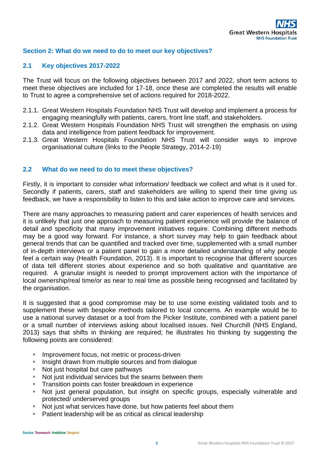#### **Section 2: What do we need to do to meet our key objectives?**

#### **2.1 Key objectives 2017-2022**

The Trust will focus on the following objectives between 2017 and 2022, short term actions to meet these objectives are included for 17-18, once these are completed the results will enable to Trust to agree a comprehensive set of actions required for 2018-2022.

- 2.1.1. Great Western Hospitals Foundation NHS Trust will develop and implement a process for engaging meaningfully with patients, carers, front line staff, and stakeholders.
- 2.1.2. Great Western Hospitals Foundation NHS Trust will strengthen the emphasis on using data and intelligence from patient feedback for improvement.
- 2.1.3. Great Western Hospitals Foundation NHS Trust will consider ways to improve organisational culture (links to the People Strategy, 2014-2-19)

#### **2.2 What do we need to do to meet these objectives?**

Firstly, it is important to consider what information/ feedback we collect and what is it used for. Secondly if patients, carers, staff and stakeholders are willing to spend their time giving us feedback, we have a responsibility to listen to this and take action to improve care and services.

There are many approaches to measuring patient and carer experiences of health services and it is unlikely that just one approach to measuring patient experience will provide the balance of detail and specificity that many improvement initiatives require. Combining different methods may be a good way forward. For instance, a short survey may help to gain feedback about general trends that can be quantified and tracked over time, supplemented with a small number of in-depth interviews or a patient panel to gain a more detailed understanding of why people feel a certain way (Health Foundation, 2013). It is important to recognise that different sources of data tell different stories about experience and so both qualitative and quantitative are required. A granular insight is needed to prompt improvement action with the importance of local ownership/real time/or as near to real time as possible being recognised and facilitated by the organisation.

It is suggested that a good compromise may be to use some existing validated tools and to supplement these with bespoke methods tailored to local concerns. An example would be to use a national survey dataset or a tool from the Picker Institute, combined with a patient panel or a small number of interviews asking about localised issues. Neil Churchill (NHS England, 2013) says that shifts in thinking are required; he illustrates his thinking by suggesting the following points are considered:

- **IMPROVEMENT focus, not metric or process-driven**
- **Insight drawn from multiple sources and from dialogue**
- Not just hospital but care pathways
- Not just individual services but the seams between them
- **Transition points can foster breakdown in experience**
- Not just general population, but insight on specific groups, especially vulnerable and protected/ underserved groups
- Not just what services have done, but how patients feel about them
- **Patient leadership will be as critical as clinical leadership**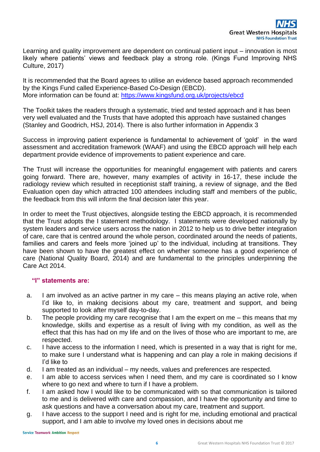Learning and quality improvement are dependent on continual patient input – innovation is most likely where patients' views and feedback play a strong role. (Kings Fund Improving NHS Culture, 2017)

It is recommended that the Board agrees to utilise an evidence based approach recommended by the Kings Fund called Experience-Based Co-Design (EBCD). More information can be found at:<https://www.kingsfund.org.uk/projects/ebcd>

The Toolkit takes the readers through a systematic, tried and tested approach and it has been very well evaluated and the Trusts that have adopted this approach have sustained changes (Stanley and Goodrich, HSJ, 2014). There is also further information in Appendix 3

Success in improving patient experience is fundamental to achievement of 'gold' in the ward assessment and accreditation framework (WAAF) and using the EBCD approach will help each department provide evidence of improvements to patient experience and care.

The Trust will increase the opportunities for meaningful engagement with patients and carers going forward. There are, however, many examples of activity in 16-17, these include the radiology review which resulted in receptionist staff training, a review of signage, and the Bed Evaluation open day which attracted 100 attendees including staff and members of the public, the feedback from this will inform the final decision later this year.

In order to meet the Trust objectives, alongside testing the EBCD approach, it is recommended that the Trust adopts the I statement methodology. I statements were developed nationally by system leaders and service users across the nation in 2012 to help us to drive better integration of care, care that is centred around the whole person, coordinated around the needs of patients, families and carers and feels more 'joined up' to the individual, including at transitions. They have been shown to have the greatest effect on whether someone has a good experience of care (National Quality Board, 2014) and are fundamental to the principles underpinning the Care Act 2014.

#### **"I" statements are:**

- a. I am involved as an active partner in my care this means playing an active role, when I'd like to, in making decisions about my care, treatment and support, and being supported to look after myself day-to-day.
- b. The people providing my care recognise that I am the expert on me this means that my knowledge, skills and expertise as a result of living with my condition, as well as the effect that this has had on my life and on the lives of those who are important to me, are respected.
- c. I have access to the information I need, which is presented in a way that is right for me, to make sure I understand what is happening and can play a role in making decisions if I'd like to
- d. I am treated as an individual my needs, values and preferences are respected.
- e. I am able to access services when I need them, and my care is coordinated so I know where to go next and where to turn if I have a problem.
- f. I am asked how I would like to be communicated with so that communication is tailored to me and is delivered with care and compassion, and I have the opportunity and time to ask questions and have a conversation about my care, treatment and support.
- g. I have access to the support I need and is right for me, including emotional and practical support, and I am able to involve my loved ones in decisions about me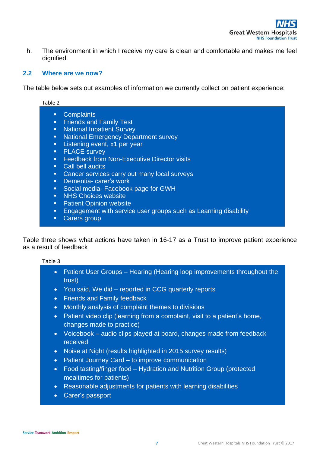h. The environment in which I receive my care is clean and comfortable and makes me feel dignified.

#### **2.2 Where are we now?**

The table below sets out examples of information we currently collect on patient experience:

| Table 2                                                                                                                                                                                                                                                                                                                                                                                                                                                                                                                                                                                                                                                                                       |  |  |  |  |
|-----------------------------------------------------------------------------------------------------------------------------------------------------------------------------------------------------------------------------------------------------------------------------------------------------------------------------------------------------------------------------------------------------------------------------------------------------------------------------------------------------------------------------------------------------------------------------------------------------------------------------------------------------------------------------------------------|--|--|--|--|
| <b>Complaints</b><br>$\blacksquare$<br><b>Friends and Family Test</b><br>Ξ<br><b>National Inpatient Survey</b><br>Ξ<br><b>National Emergency Department survey</b><br>Ξ<br>Listening event, x1 per year<br>$\blacksquare$<br><b>PLACE</b> survey<br>Ξ<br><b>Feedback from Non-Executive Director visits</b><br>$\blacksquare$<br><b>Call bell audits</b><br>п<br>Cancer services carry out many local surveys<br>$\blacksquare$<br>Dementia-carer's work<br>$\blacksquare$<br>Social media- Facebook page for GWH<br>Ξ<br><b>NHS Choices website</b><br>π<br><b>Patient Opinion website</b><br>Ξ<br>Engagement with service user groups such as Learning disability<br>п<br>Carers group<br>п |  |  |  |  |
|                                                                                                                                                                                                                                                                                                                                                                                                                                                                                                                                                                                                                                                                                               |  |  |  |  |

Table three shows what actions have taken in 16-17 as a Trust to improve patient experience as a result of feedback

#### Table 3

- Patient User Groups Hearing (Hearing loop improvements throughout the trust)
- You said, We did reported in CCG quarterly reports
- Friends and Family feedback
- Monthly analysis of complaint themes to divisions
- Patient video clip (learning from a complaint, visit to a patient's home, changes made to practice)
- Voicebook audio clips played at board, changes made from feedback received
- Noise at Night (results highlighted in 2015 survey results)
- Patient Journey Card to improve communication
- Food tasting/finger food Hydration and Nutrition Group (protected mealtimes for patients)
- Reasonable adjustments for patients with learning disabilities
- Carer's passport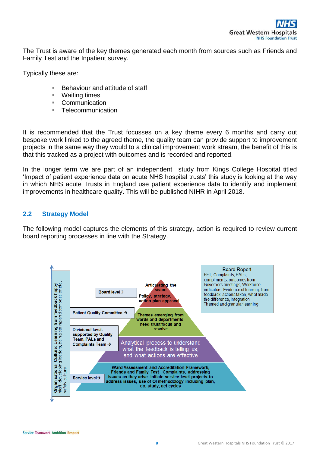The Trust is aware of the key themes generated each month from sources such as Friends and Family Test and the Inpatient survey.

Typically these are:

- **Behaviour and attitude of staff**
- Waiting times
- **Communication**
- Telecommunication

It is recommended that the Trust focusses on a key theme every 6 months and carry out bespoke work linked to the agreed theme, the quality team can provide support to improvement projects in the same way they would to a clinical improvement work stream, the benefit of this is that this tracked as a project with outcomes and is recorded and reported.

In the longer term we are part of an independent study from Kings College Hospital titled 'Impact of patient experience data on acute NHS hospital trusts' this study is looking at the way in which NHS acute Trusts in England use patient experience data to identify and implement improvements in healthcare quality. This will be published NIHR in April 2018.

### **2.2 Strategy Model**

The following model captures the elements of this strategy, action is required to review current board reporting processes in line with the Strategy.

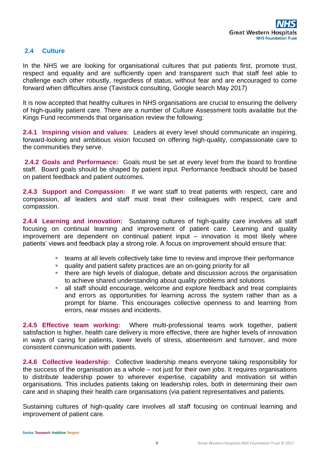### **2.4 Culture**

In the NHS we are looking for organisational cultures that put patients first, promote trust, respect and equality and are sufficiently open and transparent such that staff feel able to challenge each other robustly, regardless of status, without fear and are encouraged to come forward when difficulties arise (Tavistock consulting, Google search May 2017)

It is now accepted that healthy cultures in NHS organisations are crucial to ensuring the delivery of high-quality patient care. There are a number of Culture Assessment tools available but the Kings Fund recommends that organisation review the following:

**2.4.1 Inspiring vision and values**: Leaders at every level should communicate an inspiring, forward-looking and ambitious vision focused on offering high-quality, compassionate care to the communities they serve.

**2.4.2 Goals and Performance:** Goals must be set at every level from the board to frontline staff. Board goals should be shaped by patient input. Performance feedback should be based on patient feedback and patient outcomes.

**2.4.3 Support and Compassion:** If we want staff to treat patients with respect, care and compassion, all leaders and staff must treat their colleagues with respect, care and compassion.

**2.4.4 Learning and innovation:** Sustaining cultures of high-quality care involves all staff focusing on continual learning and improvement of patient care. Learning and quality improvement are dependent on continual patient input – innovation is most likely where patients' views and feedback play a strong role. A focus on improvement should ensure that:

- teams at all levels collectively take time to review and improve their performance
- quality and patient safety practices are an on-going priority for all
- there are high levels of dialogue, debate and discussion across the organisation to achieve shared understanding about quality problems and solutions
- all staff should encourage, welcome and explore feedback and treat complaints and errors as opportunities for learning across the system rather than as a prompt for blame. This encourages collective openness to and learning from errors, near misses and incidents.

**2.4.5 Effective team working:** Where multi-professional teams work together, patient satisfaction is higher, health care delivery is more effective, there are higher levels of innovation in ways of caring for patients, lower levels of stress, absenteeism and turnover, and more consistent communication with patients.

**2.4.6 Collective leadership:** Collective leadership means everyone taking responsibility for the success of the organisation as a whole – not just for their own jobs. It requires organisations to distribute leadership power to wherever expertise, capability and motivation sit within organisations. This includes patients taking on leadership roles, both in determining their own care and in shaping their health care organisations (via patient representatives and patients.

Sustaining cultures of high-quality care involves all staff focusing on continual learning and improvement of patient care.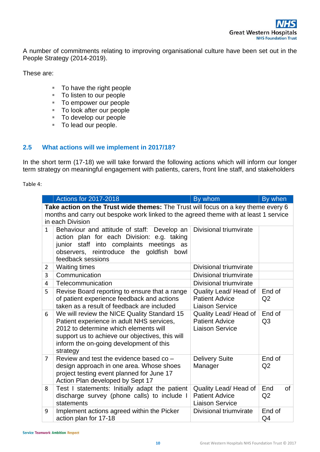A number of commitments relating to improving organisational culture have been set out in the People Strategy (2014-2019).

These are:

- To have the right people
- To listen to our people
- To empower our people
- To look after our people
- To develop our people
- To lead our people.

### **2.5 What actions will we implement in 2017/18?**

In the short term (17-18) we will take forward the following actions which will inform our longer term strategy on meaningful engagement with patients, carers, front line staff, and stakeholders

#### Table 4:

|                                                                                                                                                                           | <b>Actions for 2017-2018</b>                                                                                                                                                                                                                | By whom                                                                  | By when                  |  |
|---------------------------------------------------------------------------------------------------------------------------------------------------------------------------|---------------------------------------------------------------------------------------------------------------------------------------------------------------------------------------------------------------------------------------------|--------------------------------------------------------------------------|--------------------------|--|
| Take action on the Trust wide themes: The Trust will focus on a key theme every 6<br>months and carry out bespoke work linked to the agreed theme with at least 1 service |                                                                                                                                                                                                                                             |                                                                          |                          |  |
| in each Division                                                                                                                                                          |                                                                                                                                                                                                                                             |                                                                          |                          |  |
| $\mathbf{1}$                                                                                                                                                              | Behaviour and attitude of staff: Develop an<br>action plan for each Division: e.g. taking<br>junior staff into complaints meetings as<br>observers, reintroduce the goldfish<br>bowl<br>feedback sessions                                   | Divisional triumvirate                                                   |                          |  |
| $\overline{2}$                                                                                                                                                            | <b>Waiting times</b>                                                                                                                                                                                                                        | Divisional triumvirate                                                   |                          |  |
| 3                                                                                                                                                                         | Communication                                                                                                                                                                                                                               | Divisional triumvirate                                                   |                          |  |
| 4                                                                                                                                                                         | Telecommunication                                                                                                                                                                                                                           | Divisional triumvirate                                                   |                          |  |
| 5                                                                                                                                                                         | Revise Board reporting to ensure that a range<br>of patient experience feedback and actions<br>taken as a result of feedback are included                                                                                                   | Quality Lead/ Head of<br><b>Patient Advice</b><br><b>Liaison Service</b> | End of<br>Q2             |  |
| 6                                                                                                                                                                         | We will review the NICE Quality Standard 15<br>Patient experience in adult NHS services,<br>2012 to determine which elements will<br>support us to achieve our objectives, this will<br>inform the on-going development of this<br>strategy | Quality Lead/ Head of<br><b>Patient Advice</b><br><b>Liaison Service</b> | End of<br>Q <sub>3</sub> |  |
| $\overline{7}$                                                                                                                                                            | Review and test the evidence based co -<br>design approach in one area. Whose shoes<br>project testing event planned for June 17<br>Action Plan developed by Sept 17                                                                        | <b>Delivery Suite</b><br>Manager                                         | End of<br>Q <sub>2</sub> |  |
| 8                                                                                                                                                                         | Test I statements: Initially adapt the patient<br>discharge survey (phone calls) to include I<br>statements                                                                                                                                 | Quality Lead/ Head of<br><b>Patient Advice</b><br><b>Liaison Service</b> | End<br>0f<br>Q2          |  |
| 9                                                                                                                                                                         | Implement actions agreed within the Picker<br>action plan for 17-18                                                                                                                                                                         | Divisional triumvirate                                                   | End of<br>Q4             |  |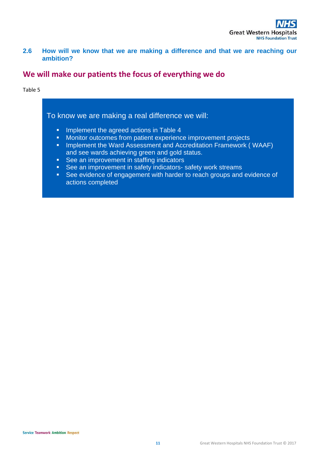**2.6 How will we know that we are making a difference and that we are reaching our ambition?** 

## **We will make our patients the focus of everything we do**

#### Table 5

## To know we are making a real difference we will:

- **Implement the agreed actions in Table 4**
- **Monitor outcomes from patient experience improvement projects**
- **IMPLEMENT IN A SET IS NOT ASSESS IN ACCREDUATE ART ASSET IS A SET IS A SET IS NOT A SET IS NOT A SET IS A SET I** and see wards achieving green and gold status.
- **See an improvement in staffing indicators**
- See an improvement in safety indicators- safety work streams
- See evidence of engagement with harder to reach groups and evidence of actions completed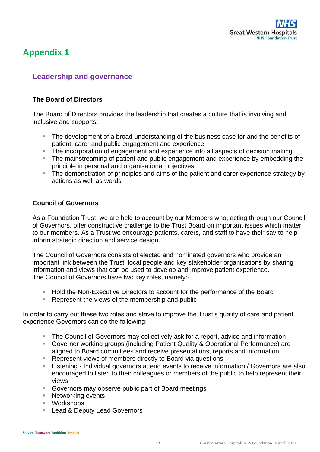

# **Appendix 1**

# **Leadership and governance**

#### **The Board of Directors**

The Board of Directors provides the leadership that creates a culture that is involving and inclusive and supports:

- **The development of a broad understanding of the business case for and the benefits of** patient, carer and public engagement and experience.
- The incorporation of engagement and experience into all aspects of decision making.
- The mainstreaming of patient and public engagement and experience by embedding the principle in personal and organisational objectives.
- The demonstration of principles and aims of the patient and carer experience strategy by actions as well as words

#### **Council of Governors**

As a Foundation Trust, we are held to account by our Members who, acting through our Council of Governors, offer constructive challenge to the Trust Board on important issues which matter to our members. As a Trust we encourage patients, carers, and staff to have their say to help inform strategic direction and service design.

The Council of Governors consists of elected and nominated governors who provide an important link between the Trust, local people and key stakeholder organisations by sharing information and views that can be used to develop and improve patient experience. The Council of Governors have two key roles, namely:-

- Hold the Non-Executive Directors to account for the performance of the Board
- Represent the views of the membership and public

In order to carry out these two roles and strive to improve the Trust's quality of care and patient experience Governors can do the following:-

- The Council of Governors may collectively ask for a report, advice and information
- Governor working groups (including Patient Quality & Operational Performance) are aligned to Board committees and receive presentations, reports and information
- Represent views of members directly to Board via questions
- Listening Individual governors attend events to receive information / Governors are also encouraged to listen to their colleagues or members of the public to help represent their views
- Governors may observe public part of Board meetings
- Networking events
- Workshops
- **Lead & Deputy Lead Governors**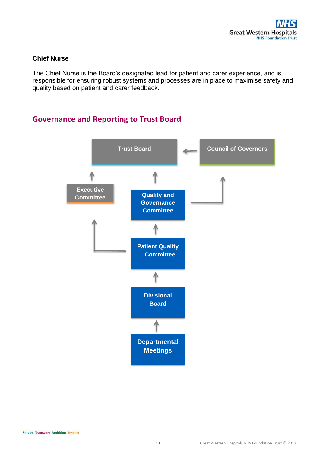#### **Chief Nurse**

The Chief Nurse is the Board's designated lead for patient and carer experience, and is responsible for ensuring robust systems and processes are in place to maximise safety and quality based on patient and carer feedback.

# **Governance and Reporting to Trust Board**

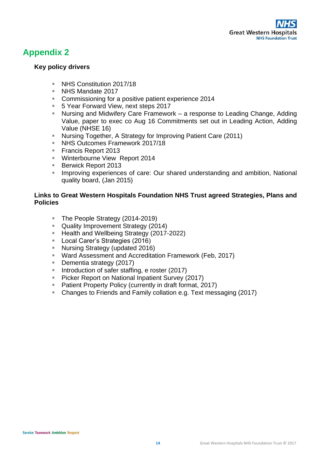# **Appendix 2**

### **Key policy drivers**

- NHS Constitution 2017/18
- NHS Mandate 2017
- **Commissioning for a positive patient experience 2014**
- 5 Year Forward View, next steps 2017
- Nursing and Midwifery Care Framework a response to Leading Change, Adding Value, paper to exec co Aug 16 Commitments set out in Leading Action, Adding Value (NHSE 16)
- Nursing Together, A Strategy for Improving Patient Care (2011)
- NHS Outcomes Framework 2017/18
- Francis Report 2013
- **Winterbourne View Report 2014**
- Berwick Report 2013
- **Improving experiences of care: Our shared understanding and ambition, National** quality board, (Jan 2015)

### **Links to Great Western Hospitals Foundation NHS Trust agreed Strategies, Plans and Policies**

- The People Strategy (2014-2019)
- **Quality Improvement Strategy (2014)**
- Health and Wellbeing Strategy (2017-2022)
- **Local Carer's Strategies (2016)**
- Nursing Strategy (updated 2016)
- Ward Assessment and Accreditation Framework (Feb, 2017)
- **Dementia strategy (2017)**
- **Introduction of safer staffing, e roster (2017)**
- **Picker Report on National Inpatient Survey (2017)**
- **Patient Property Policy (currently in draft format, 2017)**
- Changes to Friends and Family collation e.g. Text messaging (2017)